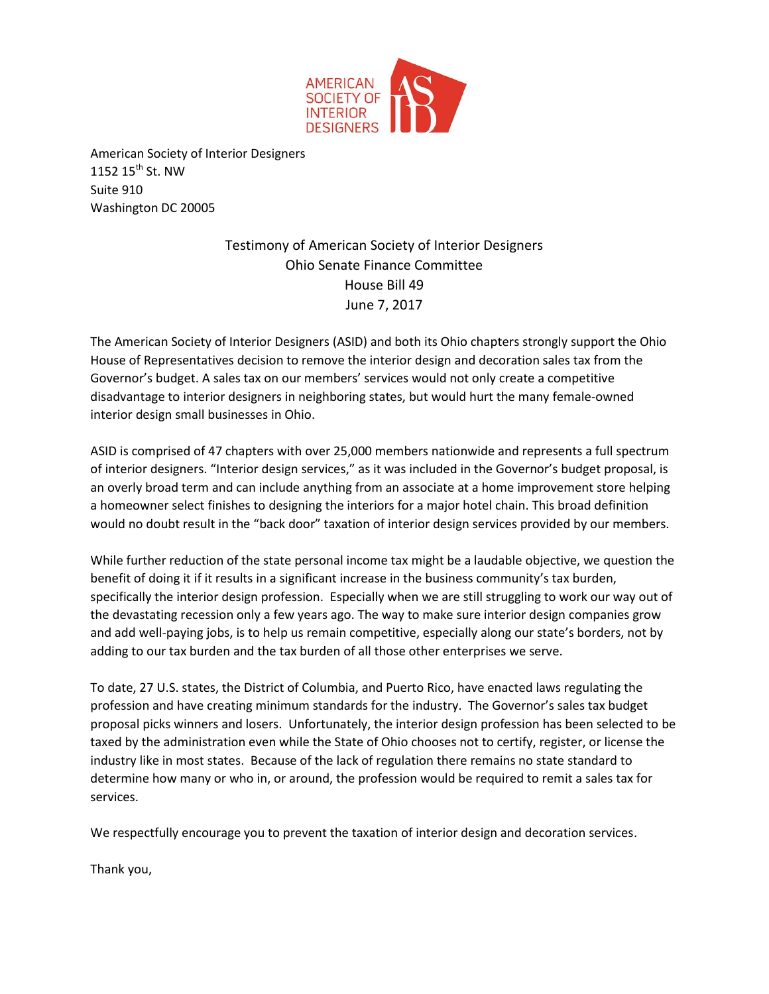

American Society of Interior Designers 1152 15<sup>th</sup> St. NW Suite 910 Washington DC 20005

> Testimony of American Society of Interior Designers Ohio Senate Finance Committee House Bill 49 June 7, 2017

The American Society of Interior Designers (ASID) and both its Ohio chapters strongly support the Ohio House of Representatives decision to remove the interior design and decoration sales tax from the Governor's budget. A sales tax on our members' services would not only create a competitive disadvantage to interior designers in neighboring states, but would hurt the many female-owned interior design small businesses in Ohio.

ASID is comprised of 47 chapters with over 25,000 members nationwide and represents a full spectrum of interior designers. "Interior design services," as it was included in the Governor's budget proposal, is an overly broad term and can include anything from an associate at a home improvement store helping a homeowner select finishes to designing the interiors for a major hotel chain. This broad definition would no doubt result in the "back door" taxation of interior design services provided by our members.

While further reduction of the state personal income tax might be a laudable objective, we question the benefit of doing it if it results in a significant increase in the business community's tax burden, specifically the interior design profession. Especially when we are still struggling to work our way out of the devastating recession only a few years ago. The way to make sure interior design companies grow and add well-paying jobs, is to help us remain competitive, especially along our state's borders, not by adding to our tax burden and the tax burden of all those other enterprises we serve.

To date, 27 U.S. states, the District of Columbia, and Puerto Rico, have enacted laws regulating the profession and have creating minimum standards for the industry. The Governor's sales tax budget proposal picks winners and losers. Unfortunately, the interior design profession has been selected to be taxed by the administration even while the State of Ohio chooses not to certify, register, or license the industry like in most states. Because of the lack of regulation there remains no state standard to determine how many or who in, or around, the profession would be required to remit a sales tax for services.

We respectfully encourage you to prevent the taxation of interior design and decoration services.

Thank you,